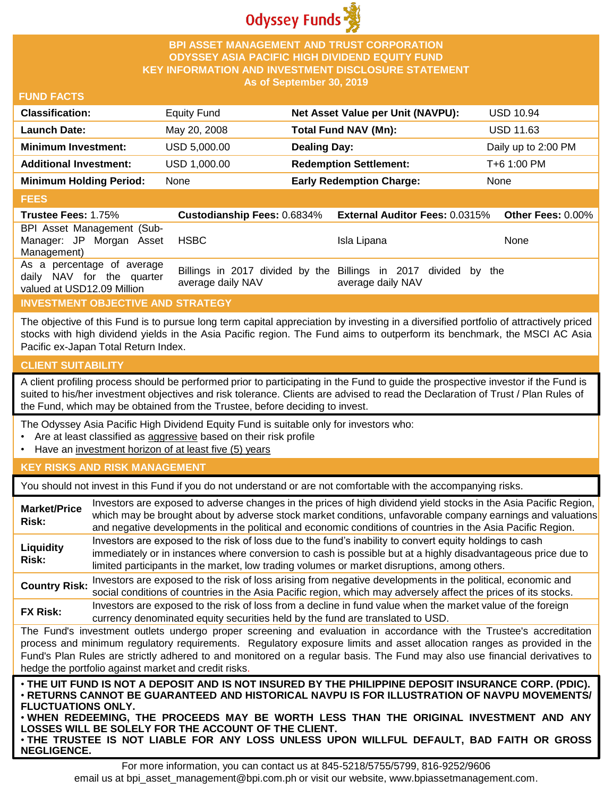

## **BPI ASSET MANAGEMENT AND TRUST CORPORATION ODYSSEY ASIA PACIFIC HIGH DIVIDEND EQUITY FUND KEY INFORMATION AND INVESTMENT DISCLOSURE STATEMENT As of September 30, 2019**

#### **FUND FACTS**

| <b>Classification:</b>         | Equity Fund  | Net Asset Value per Unit (NAVPU): | USD 10.94           |
|--------------------------------|--------------|-----------------------------------|---------------------|
| <b>Launch Date:</b>            | May 20, 2008 | Total Fund NAV (Mn):              | <b>USD 11.63</b>    |
| <b>Minimum Investment:</b>     | USD 5,000.00 | <b>Dealing Day:</b>               | Daily up to 2:00 PM |
| <b>Additional Investment:</b>  | USD 1,000.00 | <b>Redemption Settlement:</b>     | T+6 1:00 PM         |
| <b>Minimum Holding Period:</b> | None         | <b>Early Redemption Charge:</b>   | None                |

#### **FEES**

| <b>Trustee Fees: 1.75%</b>                                                            |                   | <b>Custodianship Fees: 0.6834% External Auditor Fees: 0.0315%</b>                    | Other Fees: $0.00\%$ |
|---------------------------------------------------------------------------------------|-------------------|--------------------------------------------------------------------------------------|----------------------|
| BPI Asset Management (Sub-<br>Manager: JP Morgan Asset<br>Management)                 | HSBC.             | Isla Lipana                                                                          | <b>None</b>          |
| As a percentage of average<br>daily NAV for the quarter<br>valued at USD12.09 Million | average daily NAV | Billings in 2017 divided by the Billings in 2017 divided by the<br>average daily NAV |                      |

# **INVESTMENT OBJECTIVE AND STRATEGY**

The objective of this Fund is to pursue long term capital appreciation by investing in a diversified portfolio of attractively priced stocks with high dividend yields in the Asia Pacific region. The Fund aims to outperform its benchmark, the MSCI AC Asia Pacific ex-Japan Total Return Index.

# **CLIENT SUITABILITY**

**NEGLIGENCE.**

A client profiling process should be performed prior to participating in the Fund to guide the prospective investor if the Fund is suited to his/her investment objectives and risk tolerance. Clients are advised to read the Declaration of Trust / Plan Rules of the Fund, which may be obtained from the Trustee, before deciding to invest.

The Odyssey Asia Pacific High Dividend Equity Fund is suitable only for investors who:

- Are at least classified as aggressive based on their risk profile
- Have an investment horizon of at least five (5) years

#### **KEY RISKS AND RISK MANAGEMENT**

You should not invest in this Fund if you do not understand or are not comfortable with the accompanying risks.

| <b>Market/Price</b><br>Risk:                                                                                                                                                                                                                                                                                                                                                                                                                                                 | Investors are exposed to adverse changes in the prices of high dividend yield stocks in the Asia Pacific Region,<br>which may be brought about by adverse stock market conditions, unfavorable company earnings and valuations<br>and negative developments in the political and economic conditions of countries in the Asia Pacific Region. |  |
|------------------------------------------------------------------------------------------------------------------------------------------------------------------------------------------------------------------------------------------------------------------------------------------------------------------------------------------------------------------------------------------------------------------------------------------------------------------------------|-----------------------------------------------------------------------------------------------------------------------------------------------------------------------------------------------------------------------------------------------------------------------------------------------------------------------------------------------|--|
| Liquidity<br>Risk:                                                                                                                                                                                                                                                                                                                                                                                                                                                           | Investors are exposed to the risk of loss due to the fund's inability to convert equity holdings to cash<br>immediately or in instances where conversion to cash is possible but at a highly disadvantageous price due to<br>limited participants in the market, low trading volumes or market disruptions, among others.                     |  |
| <b>Country Risk:</b>                                                                                                                                                                                                                                                                                                                                                                                                                                                         | Investors are exposed to the risk of loss arising from negative developments in the political, economic and<br>social conditions of countries in the Asia Pacific region, which may adversely affect the prices of its stocks.                                                                                                                |  |
| <b>FX Risk:</b>                                                                                                                                                                                                                                                                                                                                                                                                                                                              | Investors are exposed to the risk of loss from a decline in fund value when the market value of the foreign<br>currency denominated equity securities held by the fund are translated to USD.                                                                                                                                                 |  |
| The Fund's investment outlets undergo proper screening and evaluation in accordance with the Trustee's accreditation<br>process and minimum regulatory requirements. Regulatory exposure limits and asset allocation ranges as provided in the<br>Fund's Plan Rules are strictly adhered to and monitored on a regular basis. The Fund may also use financial derivatives to<br>hedge the portfolio against market and credit risks.                                         |                                                                                                                                                                                                                                                                                                                                               |  |
| . THE UIT FUND IS NOT A DEPOSIT AND IS NOT INSURED BY THE PHILIPPINE DEPOSIT INSURANCE CORP. (PDIC).<br>⋅RETURNS CANNOT BE GUARANTEED AND HISTORICAL NAVPU IS FOR ILLUSTRATION OF NAVPU MOVEMENTS/<br><b>FLUCTUATIONS ONLY.</b><br>. WHEN REDEEMING, THE PROCEEDS MAY BE WORTH LESS THAN THE ORIGINAL INVESTMENT AND ANY<br>LOSSES WILL BE SOLELY FOR THE ACCOUNT OF THE CLIENT.<br>. THE TRUSTEE IS NOT LIABLE FOR ANY LOSS UNLESS UPON WILLFUL DEFAULT, BAD FAITH OR GROSS |                                                                                                                                                                                                                                                                                                                                               |  |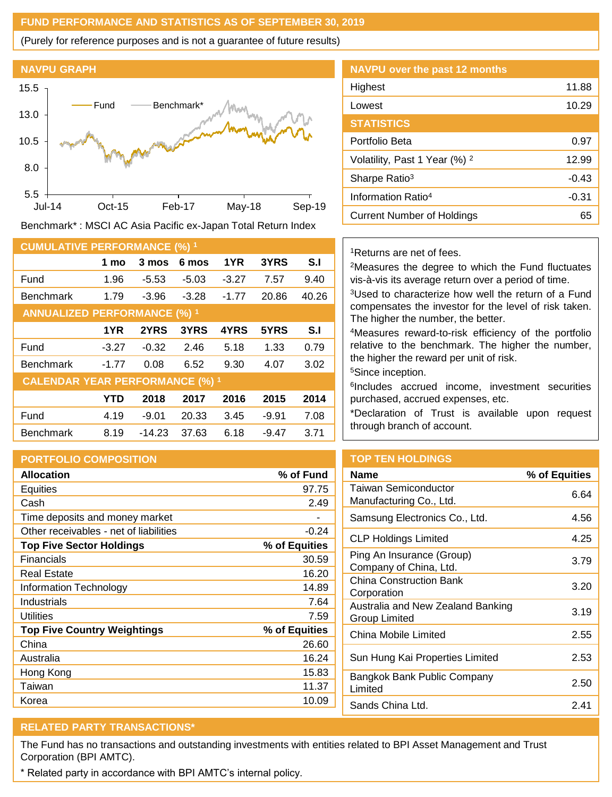## **FUND PERFORMANCE AND STATISTICS AS OF SEPTEMBER 30, 2019**

(Purely for reference purposes and is not a guarantee of future results)



Benchmark\* : MSCI AC Asia Pacific ex-Japan Total Return Index

| <b>CUMULATIVE PERFORMANCE (%) 1</b>    |            |          |         |         |         |       |
|----------------------------------------|------------|----------|---------|---------|---------|-------|
|                                        | 1 mo       | 3 mos    | 6 mos   | 1YR     | 3YRS    | S.I   |
| Fund                                   | 1.96       | -5.53    | $-5.03$ | $-3.27$ | 7.57    | 9.40  |
| <b>Benchmark</b>                       | 1.79       | $-3.96$  | $-3.28$ | $-1.77$ | 20.86   | 40.26 |
| <b>ANNUALIZED PERFORMANCE (%) 1</b>    |            |          |         |         |         |       |
|                                        | 1YR        | 2YRS     | 3YRS    | 4YRS    | 5YRS    | S.I   |
| Fund                                   | $-3.27$    | $-0.32$  | 2.46    | 5.18    | 1.33    | 0.79  |
| <b>Benchmark</b>                       | $-1.77$    | 0.08     | 6.52    | 9.30    | 4.07    | 3.02  |
| <b>CALENDAR YEAR PERFORMANCE (%) 1</b> |            |          |         |         |         |       |
|                                        | <b>YTD</b> | 2018     | 2017    | 2016    | 2015    | 2014  |
| Fund                                   | 4.19       | $-9.01$  | 20.33   | 3.45    | $-9.91$ | 7.08  |
| <b>Benchmark</b>                       | 8.19       | $-14.23$ | 37.63   | 6.18    | $-9.47$ | 3.71  |

# **PORTFOLIO COMPOSITION**

| <b>Allocation</b>                      | % of Fund     |
|----------------------------------------|---------------|
| Equities                               | 97.75         |
| Cash                                   | 2.49          |
| Time deposits and money market         |               |
| Other receivables - net of liabilities | $-0.24$       |
| <b>Top Five Sector Holdings</b>        | % of Equities |
| <b>Financials</b>                      | 30.59         |
| <b>Real Estate</b>                     | 16.20         |
| Information Technology                 | 14.89         |
| Industrials                            | 7.64          |
| <b>Utilities</b>                       | 7.59          |
| <b>Top Five Country Weightings</b>     | % of Equities |
| China                                  | 26.60         |
| Australia                              | 16.24         |
| Hong Kong                              | 15.83         |
| Taiwan                                 | 11.37         |
| Korea                                  | 10.09         |

# **NAVPU over the past 12 months** Highest 11.88 Lowest 10.29 **STATISTICS** Portfolio Beta 0.97 Volatility, Past 1 Year  $(\%)$  <sup>2</sup> 12.99 Sharpe Ratio<sup>3</sup> -0.43 Information Ratio<sup>4</sup> -0.31 Current Number of Holdings 65

## <sup>1</sup>Returns are net of fees.

<sup>2</sup>Measures the degree to which the Fund fluctuates vis-à-vis its average return over a period of time.

<sup>3</sup>Used to characterize how well the return of a Fund compensates the investor for the level of risk taken. The higher the number, the better.

<sup>4</sup>Measures reward-to-risk efficiency of the portfolio relative to the benchmark. The higher the number, the higher the reward per unit of risk.

<sup>5</sup>Since inception.

6 Includes accrued income, investment securities purchased, accrued expenses, etc.

\*Declaration of Trust is available upon request through branch of account.

# **TOP TEN HOLDINGS**

| Name                                                | % of Equities |
|-----------------------------------------------------|---------------|
| Taiwan Semiconductor<br>Manufacturing Co., Ltd.     | 6.64          |
| Samsung Electronics Co., Ltd.                       | 4.56          |
| CLP Holdings Limited                                | 4.25          |
| Ping An Insurance (Group)<br>Company of China, Ltd. | 3.79          |
| <b>China Construction Bank</b><br>Corporation       | 3.20          |
| Australia and New Zealand Banking<br>Group Limited  | 3.19          |
| China Mobile Limited                                | 2.55          |
| Sun Hung Kai Properties Limited                     | 2.53          |
| Bangkok Bank Public Company<br>Limited              | 2.50          |
| Sands China Ltd.                                    | 2.41          |

# **RELATED PARTY TRANSACTIONS\***

The Fund has no transactions and outstanding investments with entities related to BPI Asset Management and Trust Corporation (BPI AMTC).

\* Related party in accordance with BPI AMTC's internal policy.